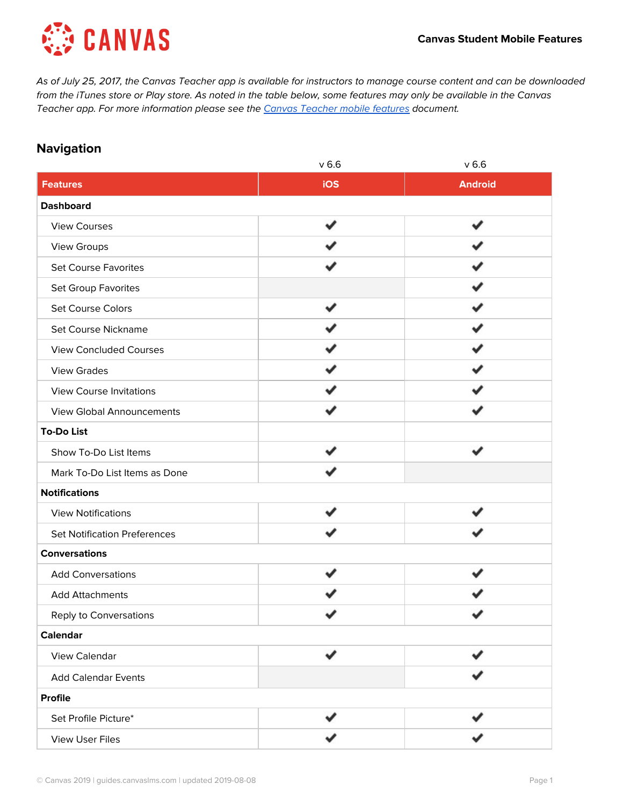

As of July 25, 2017, the Canvas Teacher app is available for instructors to manage course content and can be downloaded from the iTunes store or Play store. As noted in the table below, some features may only be available in the Canvas [Teacher](https://s3.amazonaws.com/tr-learncanvas/docs/Mobile_CanvasTeacher.pdf) app. For more information please see the Canvas Teacher mobile features document.

### **Navigation**

| $v$ 6.6 | $v$ 6.6        |
|---------|----------------|
| iOS     | <b>Android</b> |
|         |                |
|         |                |
|         |                |
|         |                |
|         |                |
|         |                |
|         |                |
|         |                |
|         |                |
|         |                |
|         |                |
|         |                |
|         |                |
|         |                |
|         |                |
|         |                |
|         |                |
|         |                |
|         |                |
|         |                |
|         |                |
|         |                |
| ✔       |                |
|         |                |
|         |                |
|         |                |
|         |                |
|         |                |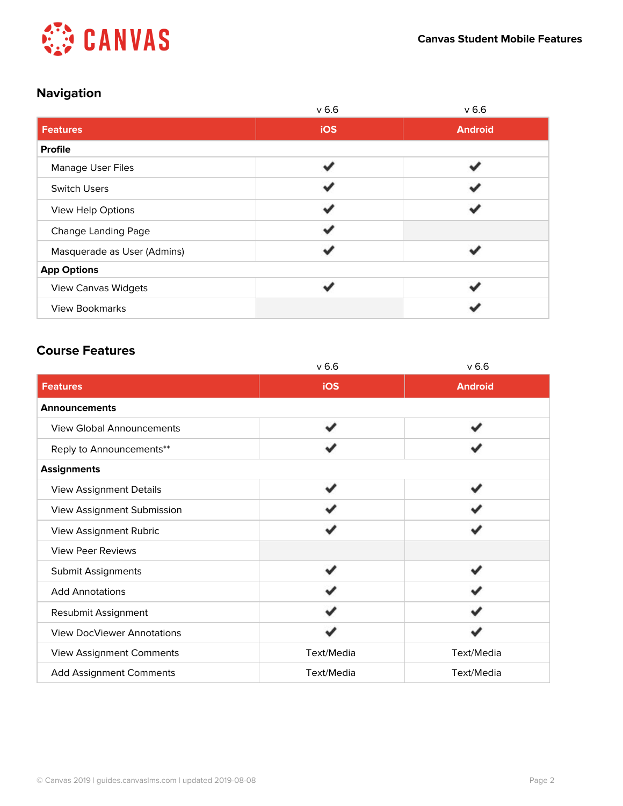

# **Navigation**

|                             | v <sub>6.6</sub>         | v <sub>6.6</sub> |
|-----------------------------|--------------------------|------------------|
| <b>Features</b>             | <b>iOS</b>               | <b>Android</b>   |
| <b>Profile</b>              |                          |                  |
| <b>Manage User Files</b>    | $\overline{\mathcal{L}}$ |                  |
| <b>Switch Users</b>         |                          |                  |
| View Help Options           |                          |                  |
| <b>Change Landing Page</b>  |                          |                  |
| Masquerade as User (Admins) |                          |                  |
| <b>App Options</b>          |                          |                  |
| <b>View Canvas Widgets</b>  |                          |                  |
| <b>View Bookmarks</b>       |                          |                  |

## **Course Features**

|                                   | v <sub>6.6</sub> | v <sub>6.6</sub> |
|-----------------------------------|------------------|------------------|
| <b>Features</b>                   | iOS              | <b>Android</b>   |
| Announcements                     |                  |                  |
| <b>View Global Announcements</b>  | م                |                  |
| Reply to Announcements**          |                  |                  |
| <b>Assignments</b>                |                  |                  |
| <b>View Assignment Details</b>    |                  |                  |
| View Assignment Submission        |                  |                  |
| View Assignment Rubric            |                  |                  |
| <b>View Peer Reviews</b>          |                  |                  |
| <b>Submit Assignments</b>         |                  |                  |
| <b>Add Annotations</b>            |                  |                  |
| Resubmit Assignment               |                  |                  |
| <b>View DocViewer Annotations</b> |                  |                  |
| View Assignment Comments          | Text/Media       | Text/Media       |
| <b>Add Assignment Comments</b>    | Text/Media       | Text/Media       |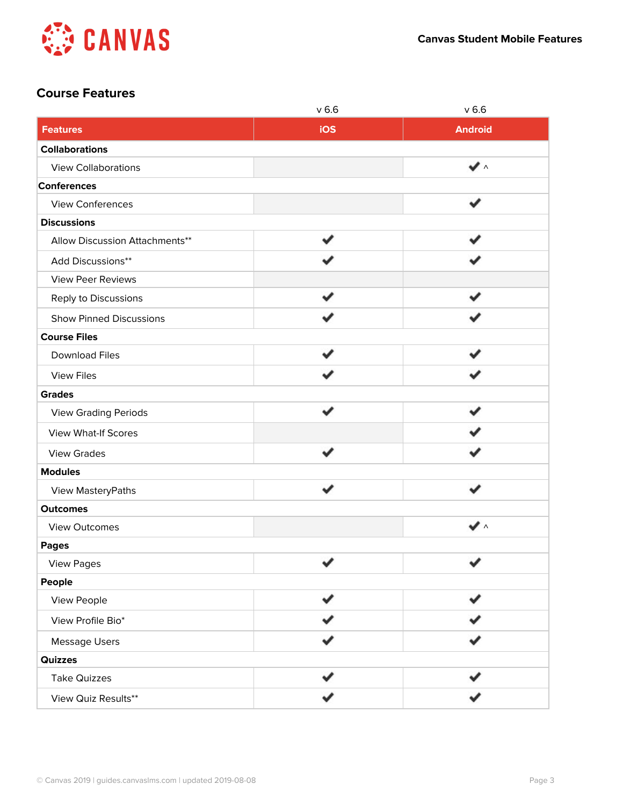

### **Course Features**

|                                | $v$ 6.6 | $v$ 6.6                   |
|--------------------------------|---------|---------------------------|
| <b>Features</b>                | iOS     | <b>Android</b>            |
| <b>Collaborations</b>          |         |                           |
| <b>View Collaborations</b>     |         | $\checkmark$ $\checkmark$ |
| <b>Conferences</b>             |         |                           |
| View Conferences               |         |                           |
| <b>Discussions</b>             |         |                           |
| Allow Discussion Attachments** |         |                           |
| Add Discussions**              |         |                           |
| <b>View Peer Reviews</b>       |         |                           |
| Reply to Discussions           |         |                           |
| <b>Show Pinned Discussions</b> |         |                           |
| <b>Course Files</b>            |         |                           |
| <b>Download Files</b>          |         |                           |
| <b>View Files</b>              |         |                           |
| <b>Grades</b>                  |         |                           |
| <b>View Grading Periods</b>    |         |                           |
| View What-If Scores            |         |                           |
| <b>View Grades</b>             |         |                           |
| <b>Modules</b>                 |         |                           |
| View MasteryPaths              |         | ✔                         |
| <b>Outcomes</b>                |         |                           |
| View Outcomes                  |         | $\checkmark$ $\checkmark$ |
| <b>Pages</b>                   |         |                           |
| <b>View Pages</b>              | v       | v                         |
| People                         |         |                           |
| View People                    |         |                           |
| View Profile Bio*              |         |                           |
| <b>Message Users</b>           |         |                           |
| Quizzes                        |         |                           |
| <b>Take Quizzes</b>            |         |                           |
| View Quiz Results**            |         |                           |